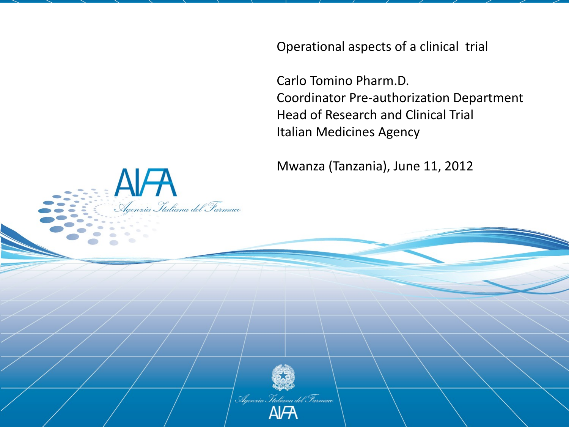Operational aspects of a clinical trial

Carlo Tomino Pharm.D. Coordinator Pre-authorization Department Head of Research and Clinical Trial Italian Medicines Agency

Mwanza (Tanzania), June 11, 2012



AFA<br>Agenzia Ttaliana del Farmacc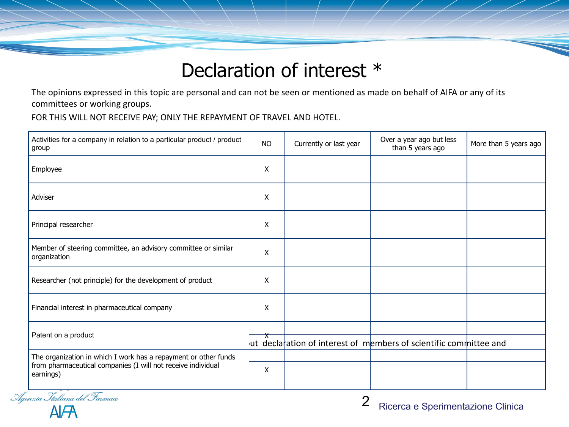# Declaration of interest \*

The opinions expressed in this topic are personal and can not be seen or mentioned as made on behalf of AIFA or any of its committees or working groups.

FOR THIS WILL NOT RECEIVE PAY; ONLY THE REPAYMENT OF TRAVEL AND HOTEL.

| Activities for a company in relation to a particular product / product<br>group                                                              | <b>NO</b> | Currently or last year | Over a year ago but less<br>than 5 years ago                      | More than 5 years ago |
|----------------------------------------------------------------------------------------------------------------------------------------------|-----------|------------------------|-------------------------------------------------------------------|-----------------------|
| Employee                                                                                                                                     | X         |                        |                                                                   |                       |
| Adviser                                                                                                                                      | X         |                        |                                                                   |                       |
| Principal researcher                                                                                                                         | X         |                        |                                                                   |                       |
| Member of steering committee, an advisory committee or similar<br>organization                                                               | X         |                        |                                                                   |                       |
| Researcher (not principle) for the development of product                                                                                    | X         |                        |                                                                   |                       |
| Financial interest in pharmaceutical company                                                                                                 | X         |                        |                                                                   |                       |
| Patent on a product                                                                                                                          |           |                        | ut declaration of interest of members of scientific committee and |                       |
| The organization in which I work has a repayment or other funds<br>from pharmaceutical companies (I will not receive individual<br>earnings) | X         |                        |                                                                   |                       |
| Agenzia Italiana del Farmaco                                                                                                                 |           | ⌒                      |                                                                   |                       |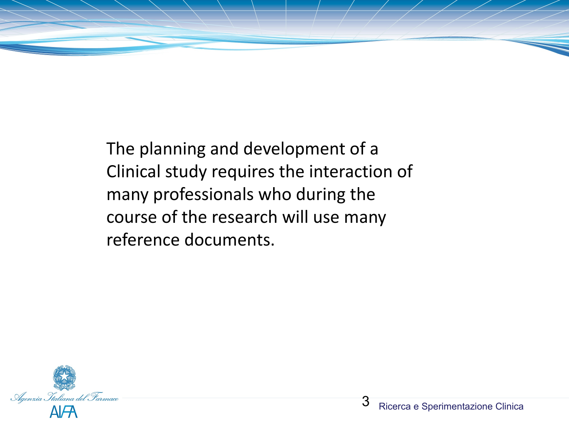

The planning and development of a Clinical study requires the interaction of many professionals who during the course of the research will use many reference documents.

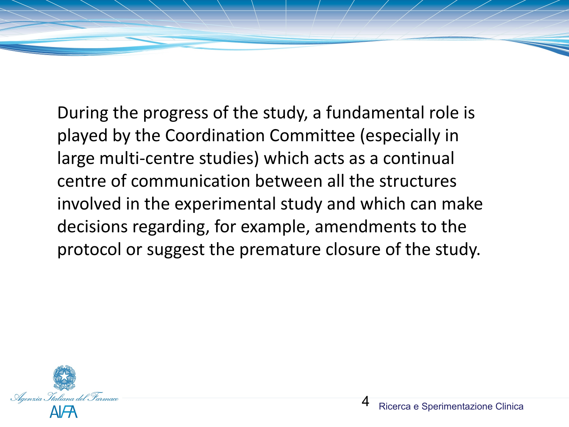During the progress of the study, a fundamental role is played by the Coordination Committee (especially in large multi-centre studies) which acts as a continual centre of communication between all the structures involved in the experimental study and which can make decisions regarding, for example, amendments to the protocol or suggest the premature closure of the study.

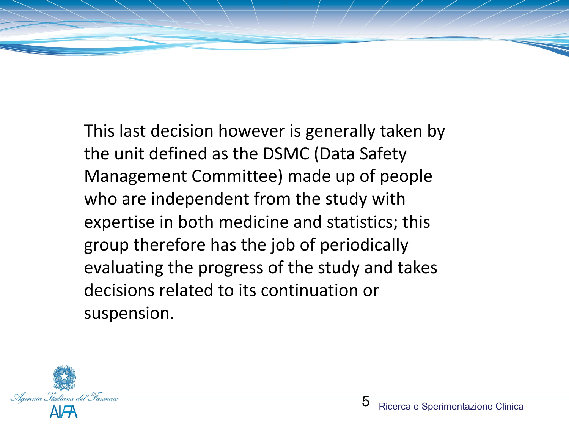This last decision however is generally taken by the unit defined as the DSMC (Data Safety Management Committee) made up of people who are independent from the study with expertise in both medicine and statistics; this group therefore has the job of periodically evaluating the progress of the study and takes decisions related to its continuation or suspension.

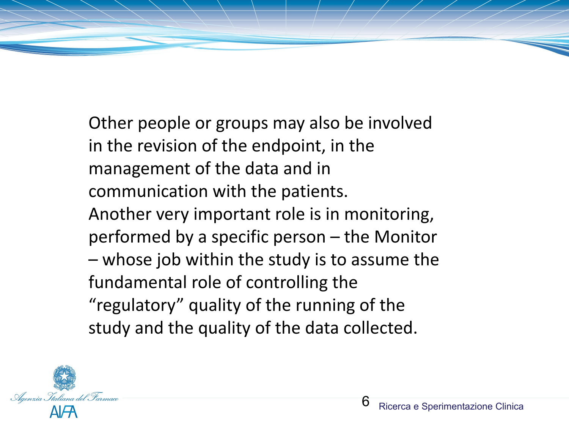Other people or groups may also be involved in the revision of the endpoint, in the management of the data and in communication with the patients. Another very important role is in monitoring, performed by a specific person – the Monitor – whose job within the study is to assume the fundamental role of controlling the "regulatory" quality of the running of the study and the quality of the data collected.

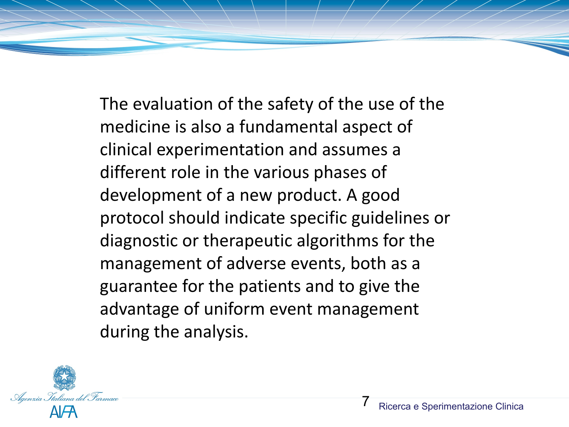The evaluation of the safety of the use of the medicine is also a fundamental aspect of clinical experimentation and assumes a different role in the various phases of development of a new product. A good protocol should indicate specific guidelines or diagnostic or therapeutic algorithms for the management of adverse events, both as a guarantee for the patients and to give the advantage of uniform event management during the analysis.

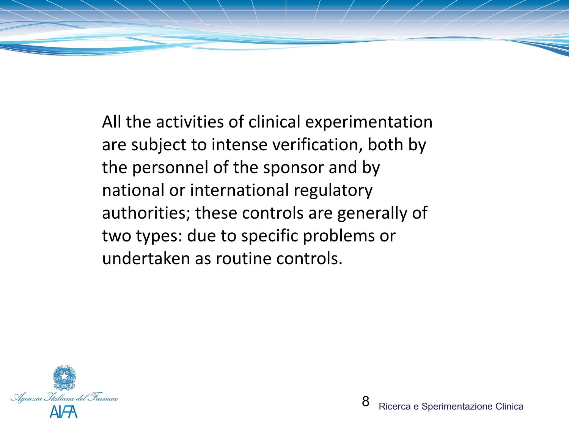All the activities of clinical experimentation are subject to intense verification, both by the personnel of the sponsor and by national or international regulatory authorities; these controls are generally of two types: due to specific problems or undertaken as routine controls.

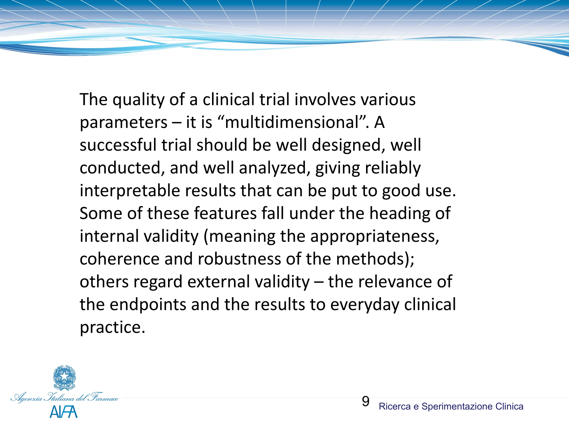The quality of a clinical trial involves various parameters – it is "multidimensional". A successful trial should be well designed, well conducted, and well analyzed, giving reliably interpretable results that can be put to good use. Some of these features fall under the heading of internal validity (meaning the appropriateness, coherence and robustness of the methods); others regard external validity – the relevance of the endpoints and the results to everyday clinical practice.

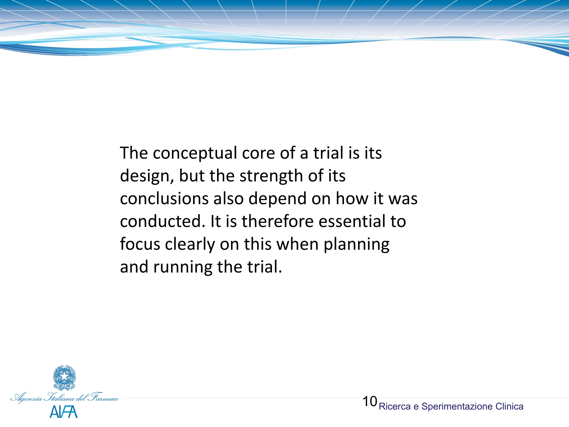

The conceptual core of a trial is its design, but the strength of its conclusions also depend on how it was conducted. It is therefore essential to focus clearly on this when planning and running the trial.

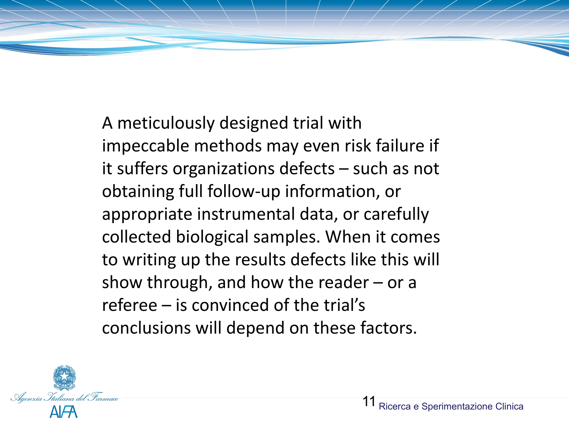A meticulously designed trial with impeccable methods may even risk failure if it suffers organizations defects – such as not obtaining full follow-up information, or appropriate instrumental data, or carefully collected biological samples. When it comes to writing up the results defects like this will show through, and how the reader  $-$  or a referee – is convinced of the trial's conclusions will depend on these factors.

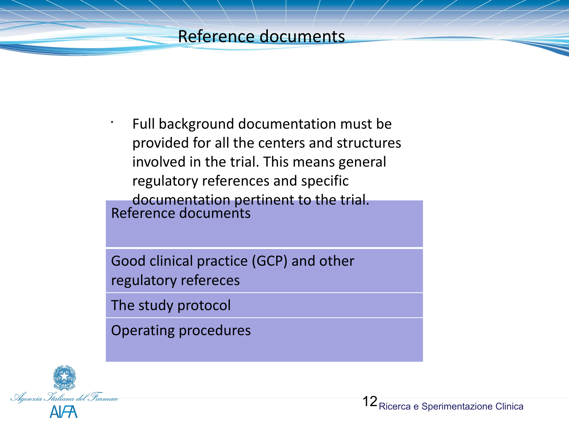# Reference documents

Reference documents • Full background documentation must be provided for all the centers and structures involved in the trial. This means general regulatory references and specific documentation pertinent to the trial.

Good clinical practice (GCP) and other regulatory refereces

The study protocol

Operating procedures

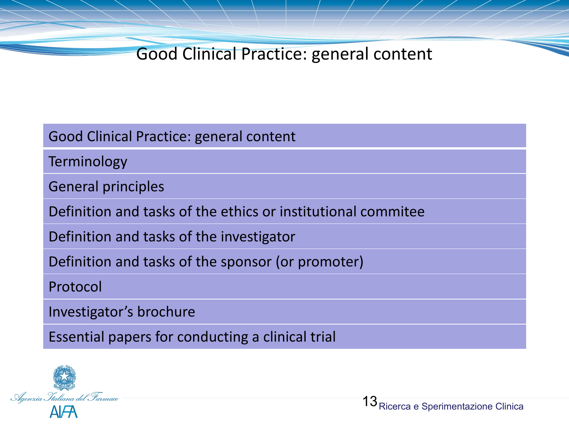Good Clinical Practice: general content

Terminology

General principles

Definition and tasks of the ethics or institutional commitee

Definition and tasks of the investigator

Definition and tasks of the sponsor (or promoter)

Protocol

Investigator's brochure

Essential papers for conducting a clinical trial

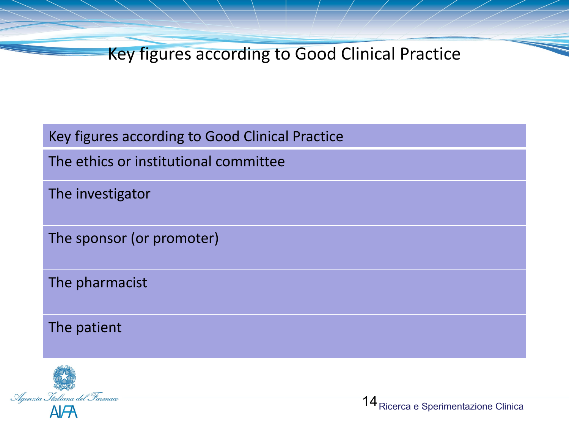Key figures according to Good Clinical Practice

Key figures according to Good Clinical Practice

The ethics or institutional committee

The investigator

The sponsor (or promoter)

The pharmacist

The patient

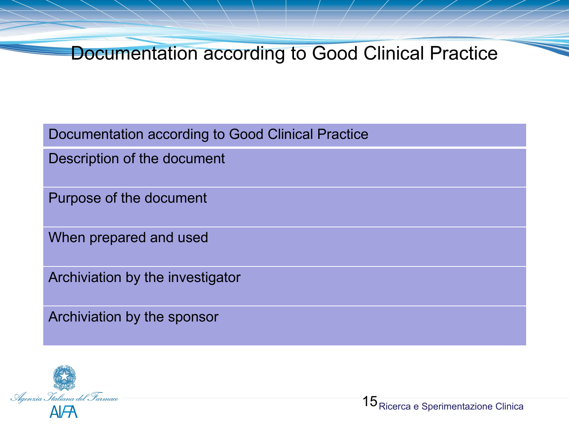Documentation according to Good Clinical Practice

Documentation according to Good Clinical Practice

Description of the document

Purpose of the document

When prepared and used

Archiviation by the investigator

Archiviation by the sponsor

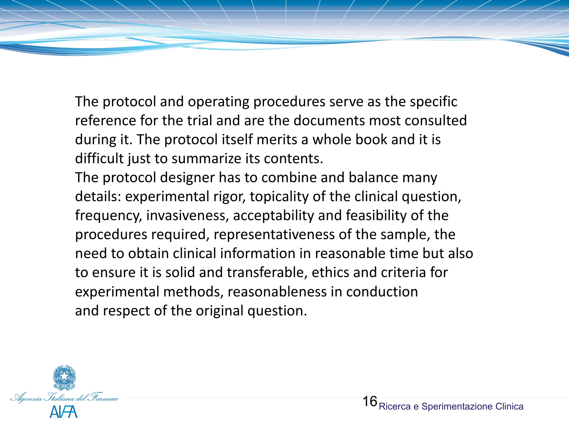The protocol and operating procedures serve as the specific reference for the trial and are the documents most consulted during it. The protocol itself merits a whole book and it is difficult just to summarize its contents.

The protocol designer has to combine and balance many details: experimental rigor, topicality of the clinical question, frequency, invasiveness, acceptability and feasibility of the procedures required, representativeness of the sample, the need to obtain clinical information in reasonable time but also to ensure it is solid and transferable, ethics and criteria for experimental methods, reasonableness in conduction and respect of the original question.

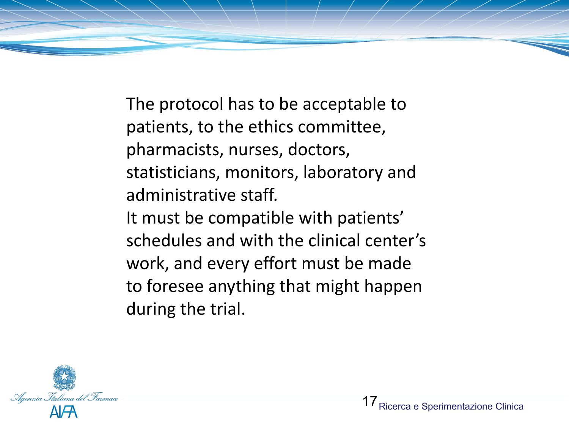The protocol has to be acceptable to patients, to the ethics committee, pharmacists, nurses, doctors, statisticians, monitors, laboratory and administrative staff. It must be compatible with patients' schedules and with the clinical center's work, and every effort must be made to foresee anything that might happen during the trial.

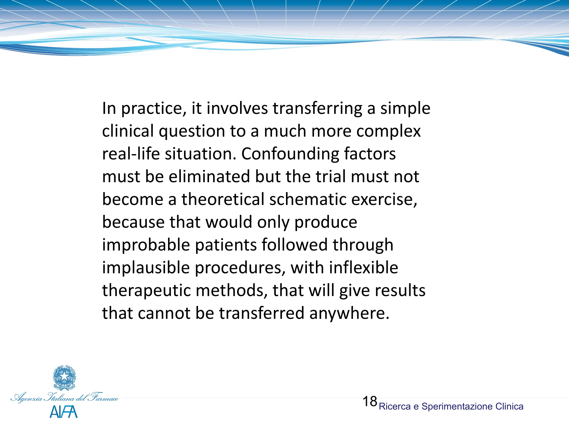In practice, it involves transferring a simple clinical question to a much more complex real-life situation. Confounding factors must be eliminated but the trial must not become a theoretical schematic exercise, because that would only produce improbable patients followed through implausible procedures, with inflexible therapeutic methods, that will give results that cannot be transferred anywhere.

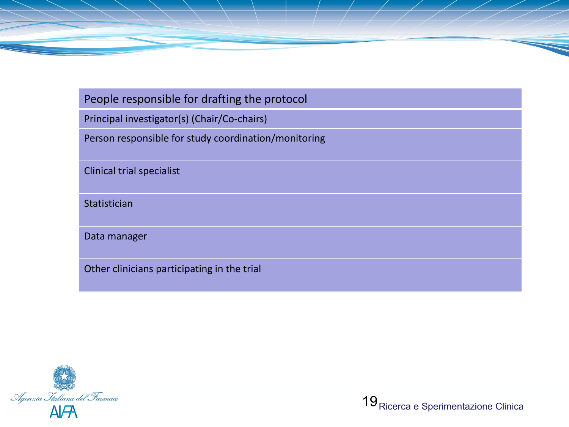#### People responsible for drafting the protocol

Principal investigator(s) (Chair/Co-chairs)

Person responsible for study coordination/monitoring

Clinical trial specialist

**Statistician** 

Data manager

Other clinicians participating in the trial

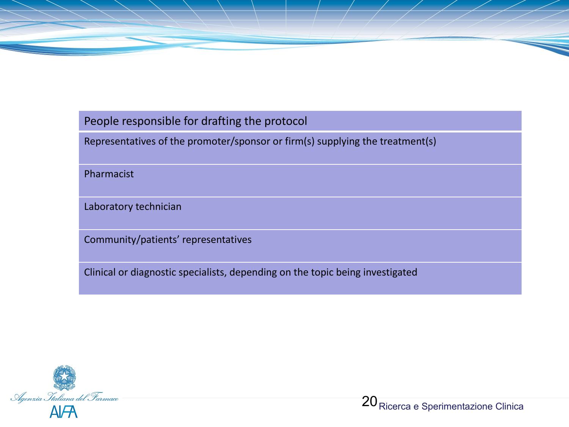#### People responsible for drafting the protocol

Representatives of the promoter/sponsor or firm(s) supplying the treatment(s)

Pharmacist

Laboratory technician

Community/patients' representatives

Clinical or diagnostic specialists, depending on the topic being investigated

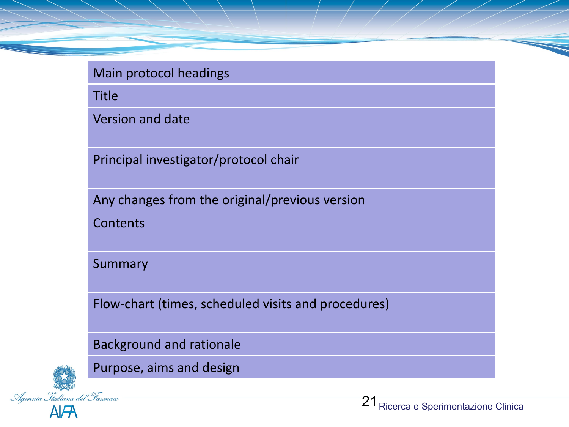Title

Version and date

Principal investigator/protocol chair

Any changes from the original/previous version

**Contents** 

Summary

Flow-chart (times, scheduled visits and procedures)

Background and rationale



Purpose, aims and design

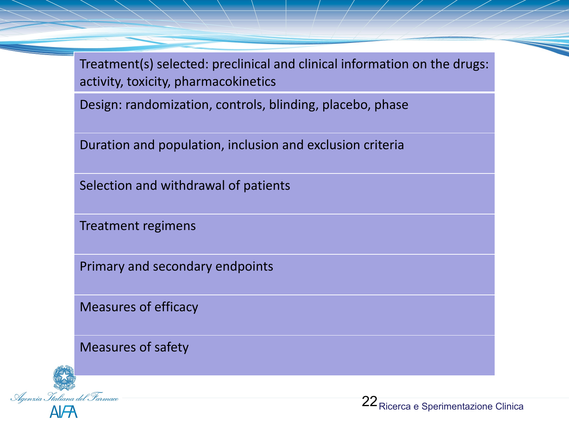Treatment(s) selected: preclinical and clinical information on the drugs: activity, toxicity, pharmacokinetics

Design: randomization, controls, blinding, placebo, phase

Duration and population, inclusion and exclusion criteria

Selection and withdrawal of patients

Treatment regimens

Primary and secondary endpoints

Measures of efficacy

Measures of safety



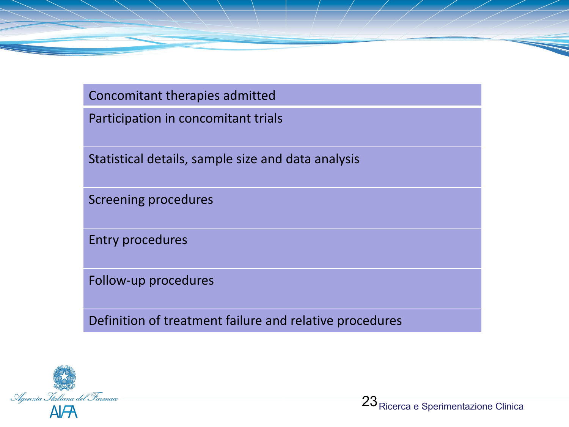Concomitant therapies admitted

Participation in concomitant trials

Statistical details, sample size and data analysis

Screening procedures

Entry procedures

Follow-up procedures

Definition of treatment failure and relative procedures

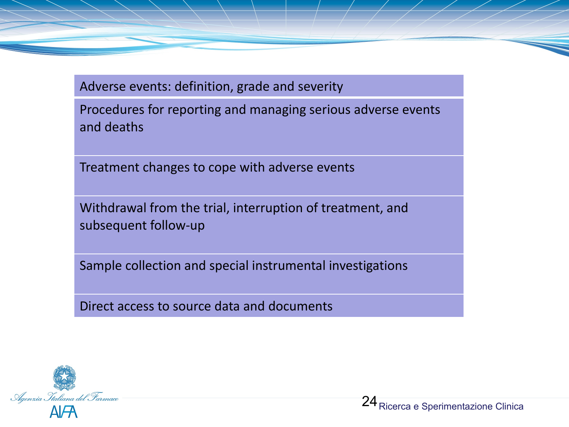Adverse events: definition, grade and severity

Procedures for reporting and managing serious adverse events and deaths

Treatment changes to cope with adverse events

Withdrawal from the trial, interruption of treatment, and subsequent follow-up

Sample collection and special instrumental investigations

Direct access to source data and documents

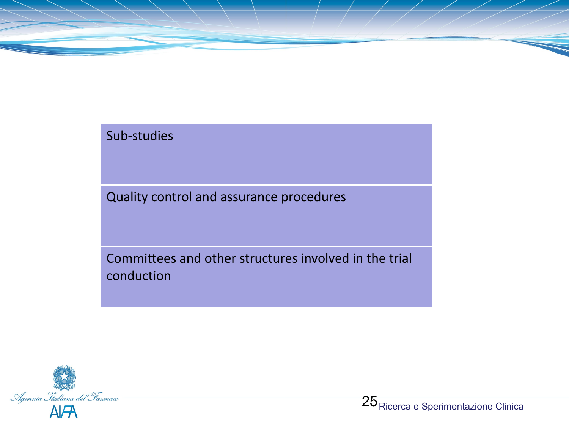## Sub-studies

Quality control and assurance procedures

Committees and other structures involved in the trial conduction

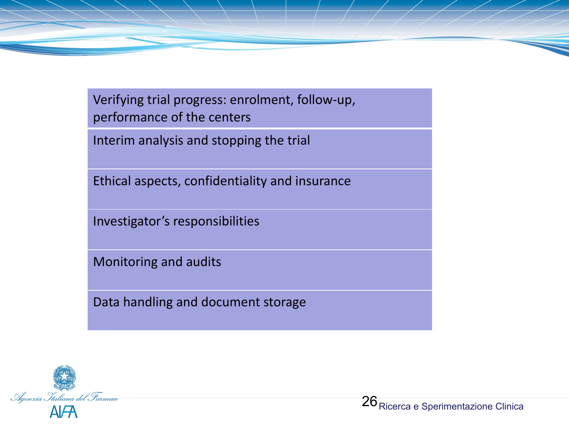Verifying trial progress: enrolment, follow-up, performance of the centers

Interim analysis and stopping the trial

Ethical aspects, confidentiality and insurance

Investigator's responsibilities

Monitoring and audits

Data handling and document storage

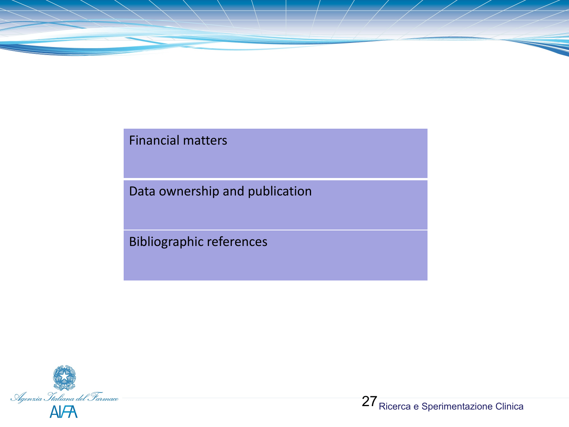

### Financial matters

Data ownership and publication

Bibliographic references

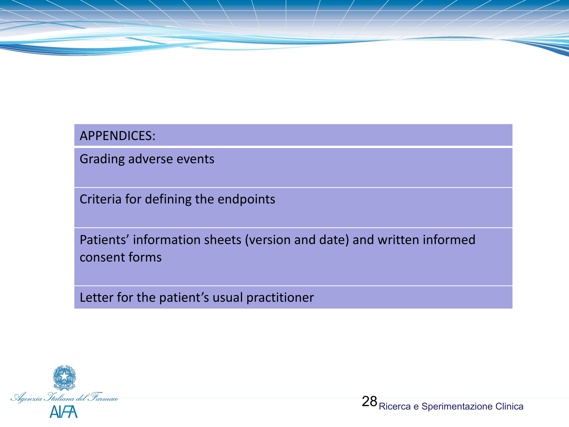

Grading adverse events

Criteria for defining the endpoints

Patients' information sheets (version and date) and written informed consent forms

Letter for the patient's usual practitioner

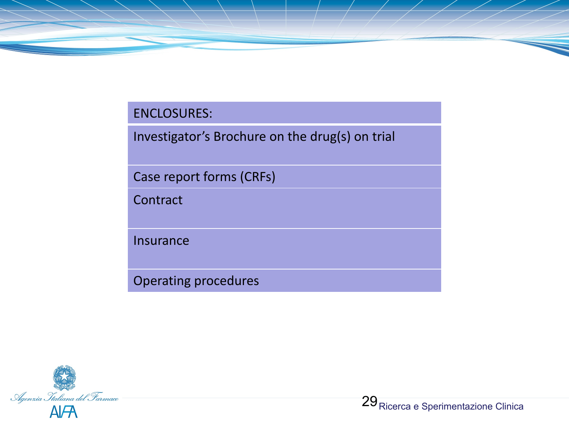#### ENCLOSURES:

Investigator's Brochure on the drug(s) on trial

Case report forms (CRFs)

Contract

Insurance

Operating procedures

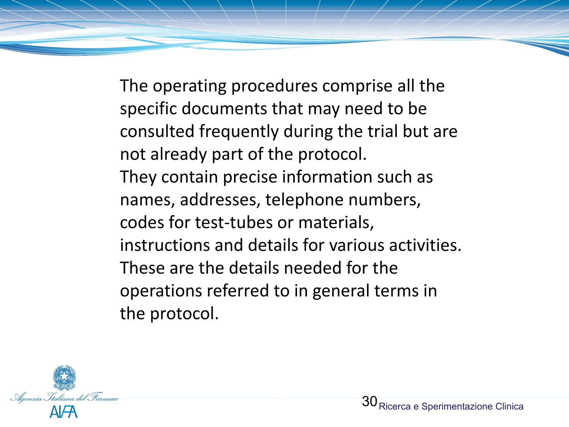The operating procedures comprise all the specific documents that may need to be consulted frequently during the trial but are not already part of the protocol. They contain precise information such as names, addresses, telephone numbers, codes for test-tubes or materials, instructions and details for various activities. These are the details needed for the operations referred to in general terms in the protocol.

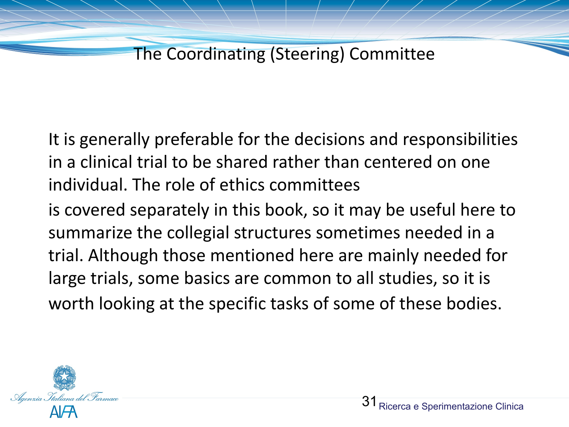The Coordinating (Steering) Committee

It is generally preferable for the decisions and responsibilities in a clinical trial to be shared rather than centered on one individual. The role of ethics committees

is covered separately in this book, so it may be useful here to summarize the collegial structures sometimes needed in a trial. Although those mentioned here are mainly needed for large trials, some basics are common to all studies, so it is worth looking at the specific tasks of some of these bodies.

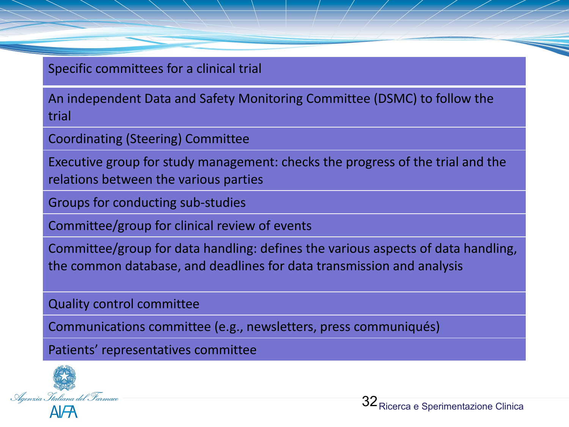Specific committees for a clinical trial

An independent Data and Safety Monitoring Committee (DSMC) to follow the trial

Coordinating (Steering) Committee

Executive group for study management: checks the progress of the trial and the relations between the various parties

Groups for conducting sub-studies

Committee/group for clinical review of events

Committee/group for data handling: defines the various aspects of data handling, the common database, and deadlines for data transmission and analysis

Quality control committee

Communications committee (e.g., newsletters, press communiqués)

Patients' representatives committee

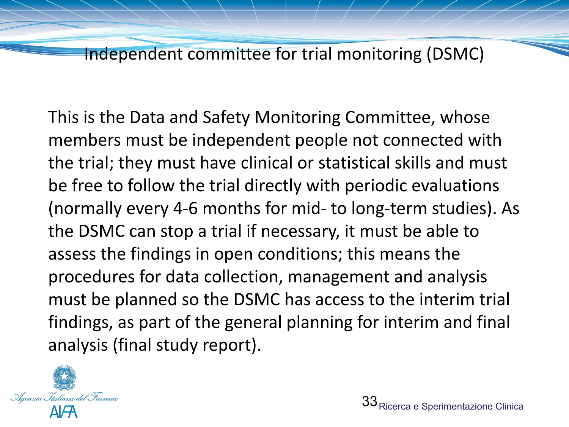Independent committee for trial monitoring (DSMC)

This is the Data and Safety Monitoring Committee, whose members must be independent people not connected with the trial; they must have clinical or statistical skills and must be free to follow the trial directly with periodic evaluations (normally every 4-6 months for mid- to long-term studies). As the DSMC can stop a trial if necessary, it must be able to assess the findings in open conditions; this means the procedures for data collection, management and analysis must be planned so the DSMC has access to the interim trial findings, as part of the general planning for interim and final analysis (final study report).

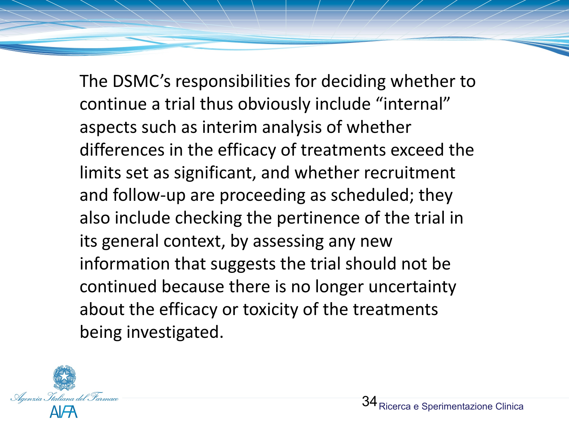The DSMC's responsibilities for deciding whether to continue a trial thus obviously include "internal" aspects such as interim analysis of whether differences in the efficacy of treatments exceed the limits set as significant, and whether recruitment and follow-up are proceeding as scheduled; they also include checking the pertinence of the trial in its general context, by assessing any new information that suggests the trial should not be continued because there is no longer uncertainty about the efficacy or toxicity of the treatments being investigated.

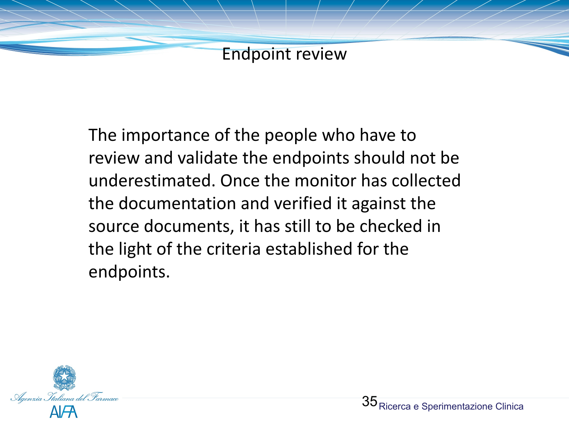

The importance of the people who have to review and validate the endpoints should not be underestimated. Once the monitor has collected the documentation and verified it against the source documents, it has still to be checked in the light of the criteria established for the endpoints.

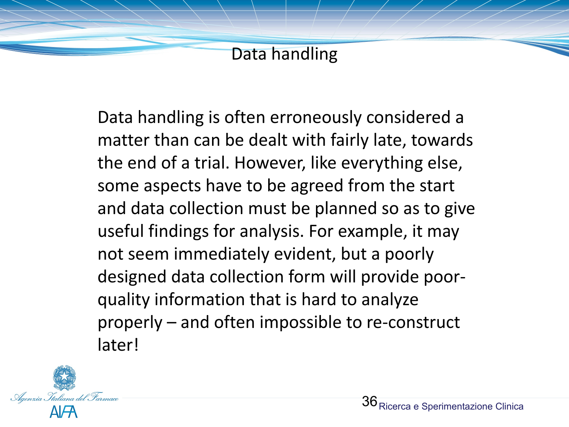Data handling

Data handling is often erroneously considered a matter than can be dealt with fairly late, towards the end of a trial. However, like everything else, some aspects have to be agreed from the start and data collection must be planned so as to give useful findings for analysis. For example, it may not seem immediately evident, but a poorly designed data collection form will provide poorquality information that is hard to analyze properly – and often impossible to re-construct later!